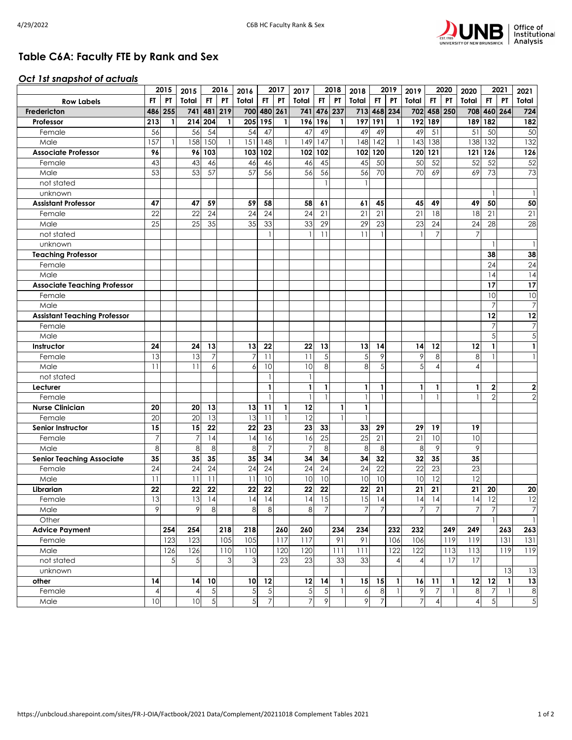

## **Table C6A: Faculty FTE by Rank and Sex**

## *Oct 1st snapshot of actuals*

|                                     | 2015           |                  | 2015       | 2016           |                           | 2017<br>2016   |                 |              | 2017         | 2018           |              | 2018             |                | 2019         | 2019           |                  | 2020            | 2020            | 2021             |              | 2021            |
|-------------------------------------|----------------|------------------|------------|----------------|---------------------------|----------------|-----------------|--------------|--------------|----------------|--------------|------------------|----------------|--------------|----------------|------------------|-----------------|-----------------|------------------|--------------|-----------------|
| <b>Row Labels</b>                   | <b>FT</b>      | <b>PT</b>        | Total      | FT.            | <b>PT</b>                 | Total          | FT.             | <b>PT</b>    | Total        | FT.            | <b>PT</b>    | Total            | FT.            | <b>PT</b>    | Total          | FT.              | <b>PT</b>       | <b>Total</b>    | FT.              | <b>PT</b>    | Total           |
| Fredericton                         | 486            | 255              | 741        | 481            | 219                       | 700            |                 | 480 261      | 741          | 476            | 237          | 713              | 468 234        |              | 702            |                  | 458 250         | 708             | 460 264          |              | 724             |
| Professor                           | 213            | $\mathbf{1}$     | 214        | 204            | $\mathbf{1}$              | 205            | 195             | $\mathbf{1}$ | 196          | 196            | 1            | 197              | 191            | $\mathbf{1}$ | 192            | 189              |                 | 189             | 182              |              | 182             |
| Female                              | 56             |                  | 56         | 54             |                           | 54             | 47              |              | 47           | 49             |              | 49               | 49             |              | 49             | 51               |                 | 51              | 50               |              | 50              |
| Male                                | 157            |                  | 158        | 150            | $\mathbf{1}$              | 151            | 148             | $\mathbf{1}$ | 149          | 147            | $\mathbf{1}$ | 148              | 142            | $\mathbf{1}$ | 143            | 138              |                 | 138             | 132              |              | 132             |
| <b>Associate Professor</b>          | 96             |                  | 96         | 103            |                           | 103            | 102             |              | 102          | 102            |              | 102              | 120            |              | 120            | $\overline{121}$ |                 | 121             | 126              |              | 126             |
| Female                              | 43             |                  | 43         | 46             |                           | 46             | 46              |              | 46           | 45             |              | 45               | 50             |              | 50             | 52               |                 | 52              | 52               |              | 52              |
| Male                                | 53             |                  | 53         | 57             |                           | 57             | 56              |              | 56           | 56             |              | 56               | 70             |              | 70             | 69               |                 | 69              | 73               |              | 73              |
| not stated                          |                |                  |            |                |                           |                |                 |              |              |                |              | 1                |                |              |                |                  |                 |                 |                  |              |                 |
| unknown                             |                |                  |            |                |                           |                |                 |              |              |                |              |                  |                |              |                |                  |                 |                 |                  |              |                 |
| <b>Assistant Professor</b>          | 47             |                  | 47         | 59             |                           | 59             | 58              |              | 58           | 61             |              | 61               | 45             |              | 45             | 49               |                 | 49              | 50               |              | 50              |
| Female                              | 22             |                  | 22         | 24             |                           | 24             | 24              |              | 24           | 21             |              | 21               | 21             |              | 21             | 18               |                 | 18              | 21               |              | 21              |
| Male                                | 25             |                  | 25         | 35             |                           | 35             | 33              |              | 33           | 29             |              | 29               | 23             |              | 23             | 24               |                 | 24              | 28               |              | 28              |
| not stated                          |                |                  |            |                |                           |                | $\mathbf{1}$    |              | 1            | 11             |              | 11               | $\mathbf{1}$   |              |                | $\overline{7}$   |                 | 7               |                  |              |                 |
| unknown                             |                |                  |            |                |                           |                |                 |              |              |                |              |                  |                |              |                |                  |                 |                 |                  |              |                 |
| <b>Teaching Professor</b>           |                |                  |            |                |                           |                |                 |              |              |                |              |                  |                |              |                |                  |                 |                 | 38               |              | 38              |
| Female                              |                |                  |            |                |                           |                |                 |              |              |                |              |                  |                |              |                |                  |                 |                 | $\overline{24}$  |              | 24              |
| Male                                |                |                  |            |                |                           |                |                 |              |              |                |              |                  |                |              |                |                  |                 |                 | 14               |              | $\overline{14}$ |
| <b>Associate Teaching Professor</b> |                |                  |            |                |                           |                |                 |              |              |                |              |                  |                |              |                |                  |                 |                 | 17               |              | $\overline{17}$ |
| Female                              |                |                  |            |                |                           |                |                 |              |              |                |              |                  |                |              |                |                  |                 |                 | 10               |              | 10              |
| Male                                |                |                  |            |                |                           |                |                 |              |              |                |              |                  |                |              |                |                  |                 |                 | $\overline{7}$   |              | $\overline{7}$  |
| <b>Assistant Teaching Professor</b> |                |                  |            |                |                           |                |                 |              |              |                |              |                  |                |              |                |                  |                 |                 | 12               |              | $\overline{12}$ |
| Female                              |                |                  |            |                |                           |                |                 |              |              |                |              |                  |                |              |                |                  |                 |                 | $\overline{7}$   |              | 7               |
| Male                                |                |                  |            |                |                           |                |                 |              |              |                |              |                  |                |              |                |                  |                 |                 | 5                |              | 5               |
| Instructor                          | 24             |                  | 24         | 13             |                           | 13             | 22              |              | 22           | 13             |              | 13               | 14             |              | 14             | 12               |                 | 12              | $\mathbf{1}$     |              | 1               |
| Female                              | 13             |                  | 13         | $\overline{7}$ |                           | $\overline{7}$ | 11              |              | 11           | 5              |              | 5                | 9              |              | 9              | 8                |                 | 8               | $\mathbf{1}$     |              |                 |
| Male                                | 11             |                  | 11         | 6              |                           | 6              | 10              |              | 10           | 8              |              | 8                | 5              |              | 5              | $\overline{4}$   |                 | 4               |                  |              |                 |
| not stated                          |                |                  |            |                |                           |                |                 |              | 1            |                |              |                  |                |              |                |                  |                 |                 |                  |              |                 |
| Lecturer                            |                |                  |            |                |                           |                | $\mathbf{1}$    |              | 1            | 1              |              | $\mathbf{1}$     | 1              |              | $\mathbf{1}$   | $\mathbf{1}$     |                 | $\mathbf{1}$    | $\mathbf{2}$     |              | 2               |
| Female                              |                |                  |            |                |                           |                | $\mathbf{1}$    |              | $\mathbf{1}$ | $\mathbf{1}$   |              | 1                | $\mathbf{1}$   |              |                | $\mathbf{1}$     |                 |                 | $\overline{2}$   |              | $\overline{2}$  |
| <b>Nurse Clinician</b>              | 20             |                  | 20         | 13             |                           | 13             | 11              | 1            | 12           |                | 1            | 1                |                |              |                |                  |                 |                 |                  |              |                 |
| Female                              | 20             |                  | 20         | 13             |                           | 13             | 11              | $\mathbf{1}$ | 12           |                |              | $\mathbf{1}$     |                |              |                |                  |                 |                 |                  |              |                 |
| <b>Senior Instructor</b>            | 15             |                  | 15         | 22             |                           | 22             | 23              |              | 23           | 33             |              | 33               | 29             |              | 29             | 19               |                 | 19              |                  |              |                 |
| Female                              | $\overline{7}$ |                  |            | 14             |                           | 14             | 16              |              | 16           | 25             |              | $\overline{25}$  | 21             |              | 21             | 10               |                 | 10              |                  |              |                 |
| Male                                | $\overline{8}$ |                  | 8          | 8              |                           | 8              | $\overline{7}$  |              | 7            | 8              |              | $\,8\,$          | 8              |              | 8              | 9                |                 | 9               |                  |              |                 |
| <b>Senior Teaching Associate</b>    | 35             |                  | 35         | 35             |                           | 35             | 34              |              | 34           | 34             |              | 34               | 32             |              | 32             | 35               |                 | 35              |                  |              |                 |
| Female                              | 24             |                  | 24         | 24             |                           | 24             | 24              |              | 24           | 24             |              | 24               | 22             |              | 22             | 23               |                 | 23              |                  |              |                 |
| Male                                | 11             |                  | 11         | 11             |                           | 11             | 10              |              | 10           | 10             |              | 10               | 10             |              | 10             | 12               |                 | 12              |                  |              |                 |
| Librarian                           | 22             |                  | 22         | 22             |                           | 22             | 22              |              | 22           | 22             |              | 22               | 21             |              | 21             | 21               |                 | 21              | 20               |              | 20              |
| Female                              | 13             |                  | 13         | 14             |                           | 14             | 14              |              | 14           | 15             |              | $\overline{15}$  | 14             |              | 14             | 14               |                 | 14              | 12               |              | $\overline{12}$ |
| Male                                | 9              |                  | 9          | $\infty$       |                           | $\infty$       | $\infty$        |              | 8            | 7              |              | 7                | 7              |              | 7              | 7                |                 | 7               | 7                |              | 7               |
| Other                               |                |                  |            |                |                           |                |                 |              |              |                |              |                  |                |              |                |                  |                 |                 |                  |              | $\mathbf{1}$    |
| <b>Advice Payment</b>               |                | 254              | 254        |                | 218                       | 218            |                 | 260          | 260          |                | 234          | 234              |                | 232          | 232            |                  | 249             | 249             |                  | 263          | 263             |
| Female                              |                | $\overline{123}$ | 123        |                | 105                       | 105            |                 | 117          | 117          |                | 91           | 91               |                | 106          | 106            |                  | 119             | 119             |                  | 131          | 131             |
| Male                                |                | 126              | 126        |                | 110                       | 110            |                 | 120          | 120          |                | 111          | 111              |                | 122          | 122            |                  | 113             | 113             |                  | 119          | 119             |
| not stated                          |                | $\sqrt{5}$       | $\sqrt{5}$ |                | $\ensuremath{\mathsf{3}}$ | $\mathbf{3}$   |                 | 23           | 23           |                | 33           | 33               |                | 4            | $\overline{4}$ |                  | $\overline{17}$ | $\overline{17}$ |                  |              |                 |
| unknown                             |                |                  |            |                |                           |                |                 |              |              |                |              |                  |                |              |                |                  |                 |                 |                  | 13           | 13              |
| other                               | 14             |                  | 14         | 10             |                           | 10             | 12              |              | 12           | 14             | 1            | 15               | 15             | 1            | 16             | 11               | 1               | 12              | 12               | $\mathbf{1}$ | 13              |
| Female                              | $\pmb{4}$      |                  | 4          | $\sqrt{5}$     |                           | $\sqrt{5}$     | $5\overline{)}$ |              | 5            | $\overline{5}$ |              | $\boldsymbol{6}$ | $\,8\,$        | $\mathbf{1}$ | 9              | $\boldsymbol{7}$ | $\mathbf{1}$    | 8               | $\boldsymbol{7}$ | $\mathbf{1}$ | $\overline{8}$  |
| Male                                | 10             |                  | 10         | 5              |                           | 5              | $\overline{7}$  |              | 7            | $\mathcal{P}$  |              | 9                | $\overline{7}$ |              | $\overline{7}$ | $\overline{4}$   |                 | 4               | 5                |              | 5               |